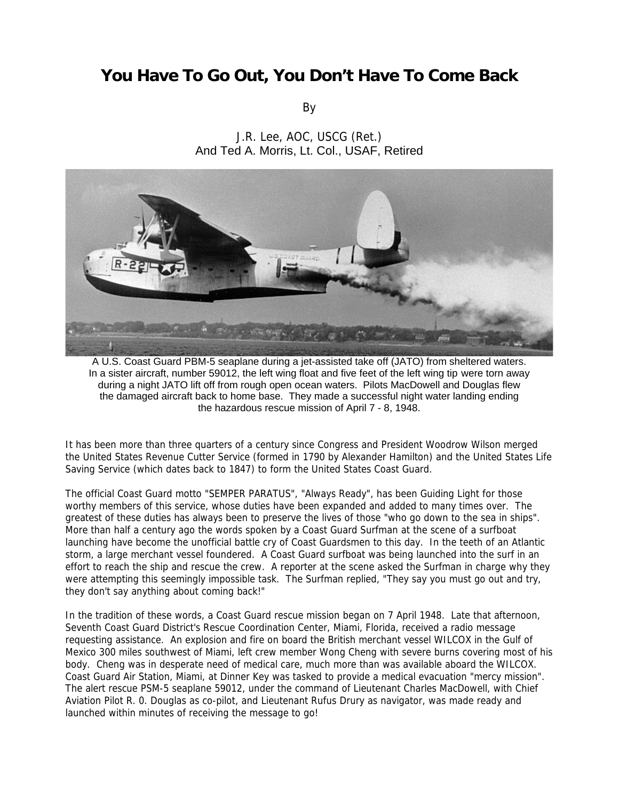## **You Have To Go Out, You Don't Have To Come Back**

By





A U.S. Coast Guard PBM-5 seaplane during a jet-assisted take off (JATO) from sheltered waters. In a sister aircraft, number 59012, the left wing float and five feet of the left wing tip were torn away during a night JATO lift off from rough open ocean waters. Pilots MacDowell and Douglas flew the damaged aircraft back to home base. They made a successful night water landing ending the hazardous rescue mission of April 7 - 8, 1948.

It has been more than three quarters of a century since Congress and President Woodrow Wilson merged the United States Revenue Cutter Service (formed in 1790 by Alexander Hamilton) and the United States Life Saving Service (which dates back to 1847) to form the United States Coast Guard.

The official Coast Guard motto "SEMPER PARATUS", "Always Ready", has been Guiding Light for those worthy members of this service, whose duties have been expanded and added to many times over. The greatest of these duties has always been to preserve the lives of those "who go down to the sea in ships". More than half a century ago the words spoken by a Coast Guard Surfman at the scene of a surfboat launching have become the unofficial battle cry of Coast Guardsmen to this day. In the teeth of an Atlantic storm, a large merchant vessel foundered. A Coast Guard surfboat was being launched into the surf in an effort to reach the ship and rescue the crew. A reporter at the scene asked the Surfman in charge why they were attempting this seemingly impossible task. The Surfman replied, "They say you must go out and try, they don't say anything about coming back!"

In the tradition of these words, a Coast Guard rescue mission began on 7 April 1948. Late that afternoon, Seventh Coast Guard District's Rescue Coordination Center, Miami, Florida, received a radio message requesting assistance. An explosion and fire on board the British merchant vessel WILCOX in the Gulf of Mexico 300 miles southwest of Miami, left crew member Wong Cheng with severe burns covering most of his body. Cheng was in desperate need of medical care, much more than was available aboard the WILCOX. Coast Guard Air Station, Miami, at Dinner Key was tasked to provide a medical evacuation "mercy mission". The alert rescue PSM-5 seaplane 59012, under the command of Lieutenant Charles MacDowell, with Chief Aviation Pilot R. 0. Douglas as co-pilot, and Lieutenant Rufus Drury as navigator, was made ready and launched within minutes of receiving the message to go!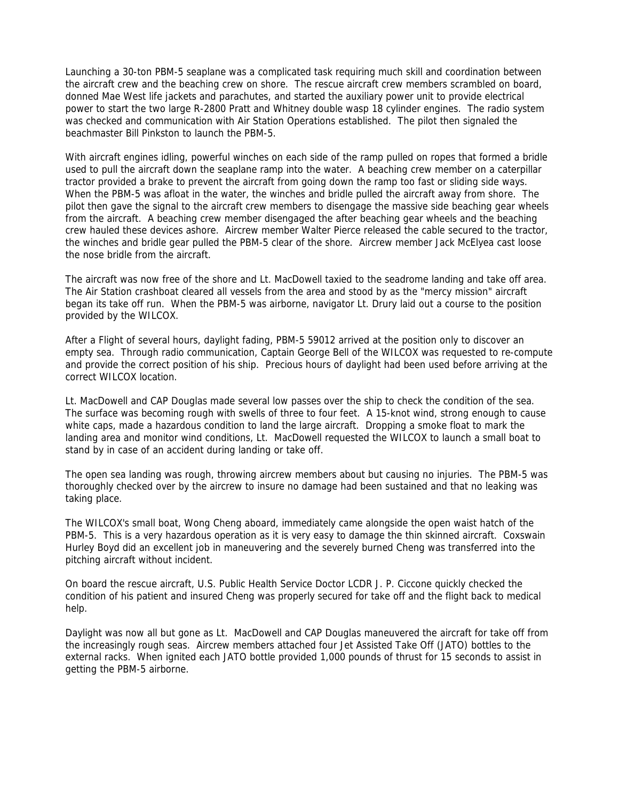Launching a 30-ton PBM-5 seaplane was a complicated task requiring much skill and coordination between the aircraft crew and the beaching crew on shore. The rescue aircraft crew members scrambled on board, donned Mae West life jackets and parachutes, and started the auxiliary power unit to provide electrical power to start the two large R-2800 Pratt and Whitney double wasp 18 cylinder engines. The radio system was checked and communication with Air Station Operations established. The pilot then signaled the beachmaster Bill Pinkston to launch the PBM-5.

With aircraft engines idling, powerful winches on each side of the ramp pulled on ropes that formed a bridle used to pull the aircraft down the seaplane ramp into the water. A beaching crew member on a caterpillar tractor provided a brake to prevent the aircraft from going down the ramp too fast or sliding side ways. When the PBM-5 was afloat in the water, the winches and bridle pulled the aircraft away from shore. The pilot then gave the signal to the aircraft crew members to disengage the massive side beaching gear wheels from the aircraft. A beaching crew member disengaged the after beaching gear wheels and the beaching crew hauled these devices ashore. Aircrew member Walter Pierce released the cable secured to the tractor, the winches and bridle gear pulled the PBM-5 clear of the shore. Aircrew member Jack McElyea cast loose the nose bridle from the aircraft.

The aircraft was now free of the shore and Lt. MacDowell taxied to the seadrome landing and take off area. The Air Station crashboat cleared all vessels from the area and stood by as the "mercy mission" aircraft began its take off run. When the PBM-5 was airborne, navigator Lt. Drury laid out a course to the position provided by the WILCOX.

After a Flight of several hours, daylight fading, PBM-5 59012 arrived at the position only to discover an empty sea. Through radio communication, Captain George Bell of the WILCOX was requested to re-compute and provide the correct position of his ship. Precious hours of daylight had been used before arriving at the correct WILCOX location.

Lt. MacDowell and CAP Douglas made several low passes over the ship to check the condition of the sea. The surface was becoming rough with swells of three to four feet. A 15-knot wind, strong enough to cause white caps, made a hazardous condition to land the large aircraft. Dropping a smoke float to mark the landing area and monitor wind conditions, Lt. MacDowell requested the WILCOX to launch a small boat to stand by in case of an accident during landing or take off.

The open sea landing was rough, throwing aircrew members about but causing no injuries. The PBM-5 was thoroughly checked over by the aircrew to insure no damage had been sustained and that no leaking was taking place.

The WILCOX's small boat, Wong Cheng aboard, immediately came alongside the open waist hatch of the PBM-5. This is a very hazardous operation as it is very easy to damage the thin skinned aircraft. Coxswain Hurley Boyd did an excellent job in maneuvering and the severely burned Cheng was transferred into the pitching aircraft without incident.

On board the rescue aircraft, U.S. Public Health Service Doctor LCDR J. P. Ciccone quickly checked the condition of his patient and insured Cheng was properly secured for take off and the flight back to medical help.

Daylight was now all but gone as Lt. MacDowell and CAP Douglas maneuvered the aircraft for take off from the increasingly rough seas. Aircrew members attached four Jet Assisted Take Off (JATO) bottles to the external racks. When ignited each JATO bottle provided 1,000 pounds of thrust for 15 seconds to assist in getting the PBM-5 airborne.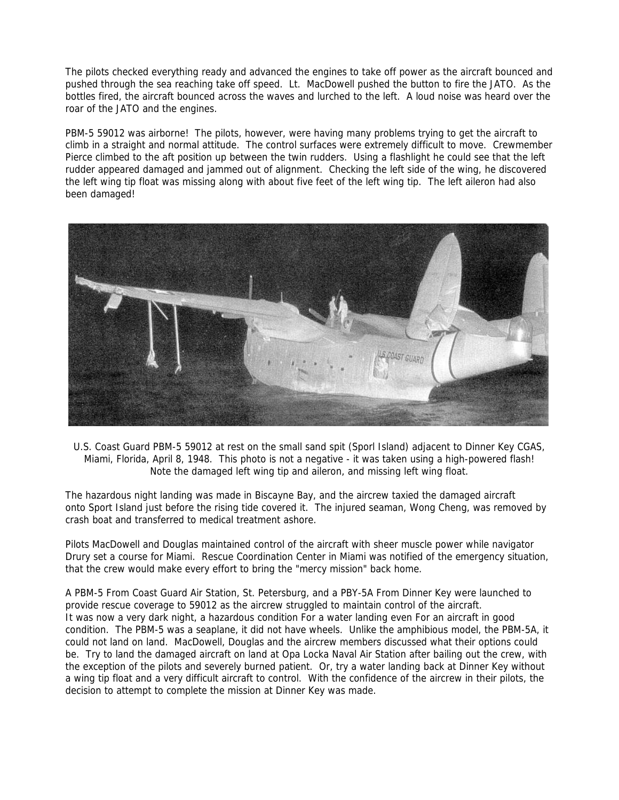The pilots checked everything ready and advanced the engines to take off power as the aircraft bounced and pushed through the sea reaching take off speed. Lt. MacDowell pushed the button to fire the JATO. As the bottles fired, the aircraft bounced across the waves and lurched to the left. A loud noise was heard over the roar of the JATO and the engines.

PBM-5 59012 was airborne! The pilots, however, were having many problems trying to get the aircraft to climb in a straight and normal attitude. The control surfaces were extremely difficult to move. Crewmember Pierce climbed to the aft position up between the twin rudders. Using a flashlight he could see that the left rudder appeared damaged and jammed out of alignment. Checking the left side of the wing, he discovered the left wing tip float was missing along with about five feet of the left wing tip. The left aileron had also been damaged!



U.S. Coast Guard PBM-5 59012 at rest on the small sand spit (Sporl Island) adjacent to Dinner Key CGAS, Miami, Florida, April 8, 1948. This photo is not a negative - it was taken using a high-powered flash! Note the damaged left wing tip and aileron, and missing left wing float.

The hazardous night landing was made in Biscayne Bay, and the aircrew taxied the damaged aircraft onto Sport Island just before the rising tide covered it. The injured seaman, Wong Cheng, was removed by crash boat and transferred to medical treatment ashore.

Pilots MacDowell and Douglas maintained control of the aircraft with sheer muscle power while navigator Drury set a course for Miami. Rescue Coordination Center in Miami was notified of the emergency situation, that the crew would make every effort to bring the "mercy mission" back home.

A PBM-5 From Coast Guard Air Station, St. Petersburg, and a PBY-5A From Dinner Key were launched to provide rescue coverage to 59012 as the aircrew struggled to maintain control of the aircraft. It was now a very dark night, a hazardous condition For a water landing even For an aircraft in good condition. The PBM-5 was a seaplane, it did not have wheels. Unlike the amphibious model, the PBM-5A, it could not land on land. MacDowell, Douglas and the aircrew members discussed what their options could be. Try to land the damaged aircraft on land at Opa Locka Naval Air Station after bailing out the crew, with the exception of the pilots and severely burned patient. Or, try a water landing back at Dinner Key without a wing tip float and a very difficult aircraft to control. With the confidence of the aircrew in their pilots, the decision to attempt to complete the mission at Dinner Key was made.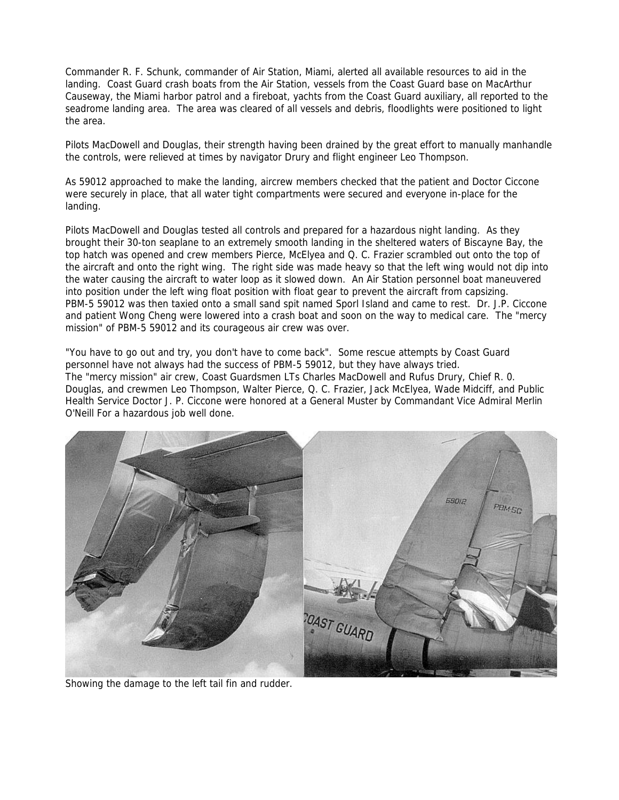Commander R. F. Schunk, commander of Air Station, Miami, alerted all available resources to aid in the landing. Coast Guard crash boats from the Air Station, vessels from the Coast Guard base on MacArthur Causeway, the Miami harbor patrol and a fireboat, yachts from the Coast Guard auxiliary, all reported to the seadrome landing area. The area was cleared of all vessels and debris, floodlights were positioned to light the area.

Pilots MacDowell and Douglas, their strength having been drained by the great effort to manually manhandle the controls, were relieved at times by navigator Drury and flight engineer Leo Thompson.

As 59012 approached to make the landing, aircrew members checked that the patient and Doctor Ciccone were securely in place, that all water tight compartments were secured and everyone in-place for the landing.

Pilots MacDowell and Douglas tested all controls and prepared for a hazardous night landing. As they brought their 30-ton seaplane to an extremely smooth landing in the sheltered waters of Biscayne Bay, the top hatch was opened and crew members Pierce, McElyea and Q. C. Frazier scrambled out onto the top of the aircraft and onto the right wing. The right side was made heavy so that the left wing would not dip into the water causing the aircraft to water loop as it slowed down. An Air Station personnel boat maneuvered into position under the left wing float position with float gear to prevent the aircraft from capsizing. PBM-5 59012 was then taxied onto a small sand spit named Sporl Island and came to rest. Dr. J.P. Ciccone and patient Wong Cheng were lowered into a crash boat and soon on the way to medical care. The "mercy mission" of PBM-5 59012 and its courageous air crew was over.

"You have to go out and try, you don't have to come back". Some rescue attempts by Coast Guard personnel have not always had the success of PBM-5 59012, but they have always tried. The "mercy mission" air crew, Coast Guardsmen LTs Charles MacDowell and Rufus Drury, Chief R. 0. Douglas, and crewmen Leo Thompson, Walter Pierce, Q. C. Frazier, Jack McElyea, Wade Midciff, and Public Health Service Doctor J. P. Ciccone were honored at a General Muster by Commandant Vice Admiral Merlin O'Neill For a hazardous job well done.



Showing the damage to the left tail fin and rudder.